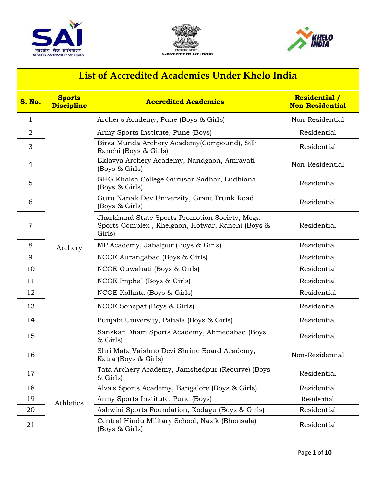





| List of Accredited Academies Under Khelo India |                                    |                                                                                                              |                                                |  |
|------------------------------------------------|------------------------------------|--------------------------------------------------------------------------------------------------------------|------------------------------------------------|--|
| <b>S. No.</b>                                  | <b>Sports</b><br><b>Discipline</b> | <b>Accredited Academies</b>                                                                                  | <b>Residential /</b><br><b>Non-Residential</b> |  |
| $\mathbf{1}$                                   |                                    | Archer's Academy, Pune (Boys & Girls)                                                                        | Non-Residential                                |  |
| $\overline{2}$                                 |                                    | Army Sports Institute, Pune (Boys)                                                                           | Residential                                    |  |
| 3                                              |                                    | Birsa Munda Archery Academy (Compound), Silli<br>Ranchi (Boys & Girls)                                       | Residential                                    |  |
| $\overline{4}$                                 |                                    | Eklavya Archery Academy, Nandgaon, Amravati<br>(Boys & Girls)                                                | Non-Residential                                |  |
| 5                                              |                                    | GHG Khalsa College Gurusar Sadhar, Ludhiana<br>(Boys & Girls)                                                | Residential                                    |  |
| 6                                              |                                    | Guru Nanak Dev University, Grant Trunk Road<br>(Boys & Girls)                                                | Residential                                    |  |
| $\overline{7}$                                 |                                    | Jharkhand State Sports Promotion Society, Mega<br>Sports Complex, Khelgaon, Hotwar, Ranchi (Boys &<br>Girls) | Residential                                    |  |
| 8                                              | Archery                            | MP Academy, Jabalpur (Boys & Girls)                                                                          | Residential                                    |  |
| 9                                              |                                    | NCOE Aurangabad (Boys & Girls)                                                                               | Residential                                    |  |
| 10                                             |                                    | NCOE Guwahati (Boys & Girls)                                                                                 | Residential                                    |  |
| 11                                             |                                    | NCOE Imphal (Boys & Girls)                                                                                   | Residential                                    |  |
| 12                                             |                                    | NCOE Kolkata (Boys & Girls)                                                                                  | Residential                                    |  |
| 13                                             |                                    | NCOE Sonepat (Boys & Girls)                                                                                  | Residential                                    |  |
| 14                                             |                                    | Punjabi University, Patiala (Boys & Girls)                                                                   | Residential                                    |  |
| 15                                             |                                    | Sanskar Dham Sports Academy, Ahmedabad (Boys<br>& Girls)                                                     | Residential                                    |  |
| 16                                             |                                    | Shri Mata Vaishno Devi Shrine Board Academy,<br>Katra (Boys & Girls)                                         | Non-Residential                                |  |
| 17                                             |                                    | Tata Archery Academy, Jamshedpur (Recurve) (Boys<br>$&$ Girls)                                               | Residential                                    |  |
| 18                                             | Athletics                          | Alva's Sports Academy, Bangalore (Boys & Girls)                                                              | Residential                                    |  |
| 19                                             |                                    | Army Sports Institute, Pune (Boys)                                                                           | Residential                                    |  |
| 20                                             |                                    | Ashwini Sports Foundation, Kodagu (Boys & Girls)                                                             | Residential                                    |  |
| 21                                             |                                    | Central Hindu Military School, Nasik (Bhonsala)<br>(Boys & Girls)                                            | Residential                                    |  |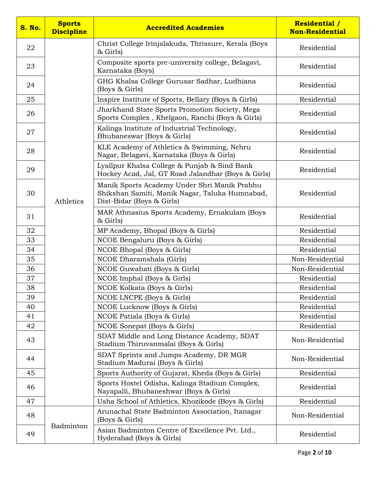| S. No. | <b>Sports</b><br><b>Discipline</b> | <b>Accredited Academies</b>                                                                                                 | <b>Residential /</b><br><b>Non-Residential</b> |
|--------|------------------------------------|-----------------------------------------------------------------------------------------------------------------------------|------------------------------------------------|
| 22     |                                    | Christ College Irinjalakuda, Thrissure, Kerala (Boys<br>& Girls)                                                            | Residential                                    |
| 23     |                                    | Composite sports pre-university college, Belagavi,<br>Karnataka (Boys)                                                      | Residential                                    |
| 24     |                                    | GHG Khalsa College Gurusar Sadhar, Ludhiana<br>(Boys & Girls)                                                               | Residential                                    |
| 25     |                                    | Inspire Institute of Sports, Bellary (Boys & Girls)                                                                         | Residential                                    |
| 26     |                                    | Jharkhand State Sports Promotion Society, Mega<br>Sports Complex, Khelgaon, Ranchi (Boys & Girls)                           | Residential                                    |
| 27     |                                    | Kalinga Institute of Industrial Technology,<br>Bhubaneswar (Boys & Girls)                                                   | Residential                                    |
| 28     |                                    | KLE Academy of Athletics & Swimming, Nehru<br>Nagar, Belagavi, Karnataka (Boys & Girls)                                     | Residential                                    |
| 29     |                                    | Lyallpur Khalsa College & Punjab & Sind Bank<br>Hockey Acad, Jal, GT Road Jalandhar (Boys & Girls)                          | Residential                                    |
| 30     | Athletics                          | Manik Sports Academy Under Shri Manik Prabhu<br>Shikshan Samiti, Manik Nagar, Taluka Humnabad,<br>Dist-Bidar (Boys & Girls) | Residential                                    |
| 31     |                                    | MAR Athnasius Sports Academy, Ernakulam (Boys<br>$&$ Girls)                                                                 | Residential                                    |
| 32     |                                    | MP Academy, Bhopal (Boys & Girls)                                                                                           | Residential                                    |
| 33     |                                    | NCOE Bengaluru (Boys & Girls)                                                                                               | Residential                                    |
| 34     |                                    | NCOE Bhopal (Boys & Girls)                                                                                                  | Residential                                    |
| 35     |                                    | NCOE Dharamshala (Girls)                                                                                                    | Non-Residential                                |
| 36     |                                    | NCOE Guwahati (Boys & Girls)                                                                                                | Non-Residential                                |
| 37     |                                    | NCOE Imphal (Boys & Girls)                                                                                                  | Residential                                    |
| 38     |                                    | NCOE Kolkata (Boys & Girls)                                                                                                 | Residential                                    |
| 39     |                                    | NCOE LNCPE (Boys & Girls)                                                                                                   | Residential                                    |
| 40     |                                    | NCOE Lucknow (Boys & Girls)                                                                                                 | Residential                                    |
| 41     |                                    | NCOE Patiala (Boys & Girls)                                                                                                 | Residential                                    |
| 42     |                                    | NCOE Sonepat (Boys & Girls)                                                                                                 | Residential                                    |
| 43     |                                    | SDAT Middle and Long Distance Academy, SDAT<br>Stadium Thiruvanmalai (Boys & Girls)                                         | Non-Residential                                |
| 44     |                                    | SDAT Sprints and Jumps Academy, DR MGR<br>Stadium Madurai (Boys & Girls)                                                    | Non-Residential                                |
| 45     |                                    | Sports Authority of Gujarat, Kheda (Boys & Girls)                                                                           | Residential                                    |
| 46     |                                    | Sports Hostel Odisha, Kalinga Stadium Complex,<br>Nayapalli, Bhubaneshwar (Boys & Girls)                                    | Residential                                    |
| 47     |                                    | Usha School of Athletics, Khozikode (Boys & Girls)                                                                          | Residential                                    |
| 48     |                                    | Arunachal State Badminton Association, Itanagar<br>(Boys & Girls)                                                           | Non-Residential                                |
| 49     | Badminton                          | Asian Badminton Centre of Excellence Pvt. Ltd.,<br>Hyderabad (Boys & Girls)                                                 | Residential                                    |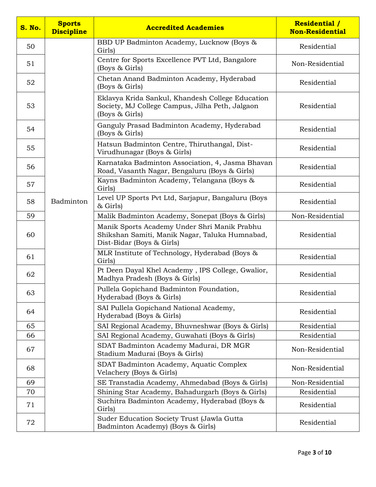| S. No. | <b>Sports</b><br><b>Discipline</b> | <b>Accredited Academies</b>                                                                                                 | <b>Residential /</b><br><b>Non-Residential</b> |
|--------|------------------------------------|-----------------------------------------------------------------------------------------------------------------------------|------------------------------------------------|
| 50     |                                    | BBD UP Badminton Academy, Lucknow (Boys &<br>Girls)                                                                         | Residential                                    |
| 51     |                                    | Centre for Sports Excellence PVT Ltd, Bangalore<br>(Boys & Girls)                                                           | Non-Residential                                |
| 52     |                                    | Chetan Anand Badminton Academy, Hyderabad<br>(Boys & Girls)                                                                 | Residential                                    |
| 53     |                                    | Eklavya Krida Sankul, Khandesh College Education<br>Society, MJ College Campus, Jilha Peth, Jalgaon<br>(Boys & Girls)       | Residential                                    |
| 54     |                                    | Ganguly Prasad Badminton Academy, Hyderabad<br>(Boys & Girls)                                                               | Residential                                    |
| 55     |                                    | Hatsun Badminton Centre, Thiruthangal, Dist-<br>Virudhunagar (Boys & Girls)                                                 | Residential                                    |
| 56     |                                    | Karnataka Badminton Association, 4, Jasma Bhavan<br>Road, Vasanth Nagar, Bengaluru (Boys & Girls)                           | Residential                                    |
| 57     |                                    | Kayns Badminton Academy, Telangana (Boys &<br>Girls)                                                                        | Residential                                    |
| 58     | Badminton                          | Level UP Sports Pvt Ltd, Sarjapur, Bangaluru (Boys<br>& Girls)                                                              | Residential                                    |
| 59     |                                    | Malik Badminton Academy, Sonepat (Boys & Girls)                                                                             | Non-Residential                                |
| 60     |                                    | Manik Sports Academy Under Shri Manik Prabhu<br>Shikshan Samiti, Manik Nagar, Taluka Humnabad,<br>Dist-Bidar (Boys & Girls) | Residential                                    |
| 61     |                                    | MLR Institute of Technology, Hyderabad (Boys &<br>Girls)                                                                    | Residential                                    |
| 62     |                                    | Pt Deen Dayal Khel Academy, IPS College, Gwalior,<br>Madhya Pradesh (Boys & Girls)                                          | Residential                                    |
| 63     |                                    | Pullela Gopichand Badminton Foundation,<br>Hyderabad (Boys & Girls)                                                         | Residential                                    |
| 64     |                                    | SAI Pullela Gopichand National Academy,<br>Hyderabad (Boys & Girls)                                                         | Residential                                    |
| 65     |                                    | SAI Regional Academy, Bhuvneshwar (Boys & Girls)                                                                            | Residential                                    |
| 66     |                                    | SAI Regional Academy, Guwahati (Boys & Girls)                                                                               | Residential                                    |
| 67     |                                    | SDAT Badminton Academy Madurai, DR MGR<br>Stadium Madurai (Boys & Girls)                                                    | Non-Residential                                |
| 68     |                                    | SDAT Badminton Academy, Aquatic Complex<br>Velachery (Boys & Girls)                                                         | Non-Residential                                |
| 69     |                                    | SE Transtadia Academy, Ahmedabad (Boys & Girls)                                                                             | Non-Residential                                |
| 70     |                                    | Shining Star Academy, Bahadurgarh (Boys & Girls)                                                                            | Residential                                    |
| 71     |                                    | Suchitra Badminton Academy, Hyderabad (Boys &<br>Girls)                                                                     | Residential                                    |
| 72     |                                    | Suder Education Society Trust (Jawla Gutta<br>Badminton Academy) (Boys & Girls)                                             | Residential                                    |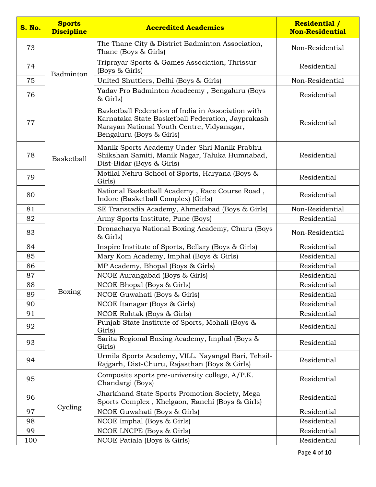| <b>S. No.</b> | <b>Sports</b><br><b>Discipline</b> | <b>Accredited Academies</b>                                                                                                                                                       | <b>Residential /</b><br><b>Non-Residential</b> |
|---------------|------------------------------------|-----------------------------------------------------------------------------------------------------------------------------------------------------------------------------------|------------------------------------------------|
| 73            | Badminton                          | The Thane City & District Badminton Association,<br>Thane (Boys & Girls)                                                                                                          | Non-Residential                                |
| 74            |                                    | Triprayar Sports & Games Association, Thrissur<br>(Boys & Girls)                                                                                                                  | Residential                                    |
| 75            |                                    | United Shuttlers, Delhi (Boys & Girls)                                                                                                                                            | Non-Residential                                |
| 76            |                                    | Yadav Pro Badminton Acadeemy, Bengaluru (Boys<br>& Girls)                                                                                                                         | Residential                                    |
| 77            |                                    | Basketball Federation of India in Association with<br>Karnataka State Basketball Federation, Jayprakash<br>Narayan National Youth Centre, Vidyanagar,<br>Bengaluru (Boys & Girls) | Residential                                    |
| 78            | Basketball                         | Manik Sports Academy Under Shri Manik Prabhu<br>Shikshan Samiti, Manik Nagar, Taluka Humnabad,<br>Dist-Bidar (Boys & Girls)                                                       | Residential                                    |
| 79            |                                    | Motilal Nehru School of Sports, Haryana (Boys &<br>Girls)                                                                                                                         | Residential                                    |
| 80            |                                    | National Basketball Academy, Race Course Road,<br>Indore (Basketball Complex) (Girls)                                                                                             | Residential                                    |
| 81            |                                    | SE Transtadia Academy, Ahmedabad (Boys & Girls)                                                                                                                                   | Non-Residential                                |
| 82            |                                    | Army Sports Institute, Pune (Boys)                                                                                                                                                | Residential                                    |
| 83            |                                    | Dronacharya National Boxing Academy, Churu (Boys<br>& Girls)                                                                                                                      | Non-Residential                                |
| 84            |                                    | Inspire Institute of Sports, Bellary (Boys & Girls)                                                                                                                               | Residential                                    |
| 85            |                                    | Mary Kom Academy, Imphal (Boys & Girls)                                                                                                                                           | Residential                                    |
| 86            |                                    | MP Academy, Bhopal (Boys & Girls)                                                                                                                                                 | Residential                                    |
| 87            |                                    | NCOE Aurangabad (Boys & Girls)                                                                                                                                                    | Residential                                    |
| 88            |                                    | NCOE Bhopal (Boys & Girls)                                                                                                                                                        | Residential                                    |
| 89            | Boxing                             | NCOE Guwahati (Boys & Girls)                                                                                                                                                      | Residential                                    |
| 90            |                                    | NCOE Itanagar (Boys & Girls)                                                                                                                                                      | Residential                                    |
| 91            |                                    | NCOE Rohtak (Boys & Girls)                                                                                                                                                        | Residential                                    |
| 92            |                                    | Punjab State Institute of Sports, Mohali (Boys &<br>Girls)                                                                                                                        | Residential                                    |
| 93            |                                    | Sarita Regional Boxing Academy, Imphal (Boys &<br>Girls)                                                                                                                          | Residential                                    |
| 94            |                                    | Urmila Sports Academy, VILL. Nayangal Bari, Tehsil-<br>Rajgarh, Dist-Churu, Rajasthan (Boys & Girls)                                                                              | Residential                                    |
| 95            |                                    | Composite sports pre-university college, A/P.K.<br>Chandargi (Boys)                                                                                                               | Residential                                    |
| 96            |                                    | Jharkhand State Sports Promotion Society, Mega<br>Sports Complex, Khelgaon, Ranchi (Boys & Girls)                                                                                 | Residential                                    |
| 97            | Cycling                            | NCOE Guwahati (Boys & Girls)                                                                                                                                                      | Residential                                    |
| 98            |                                    | NCOE Imphal (Boys & Girls)                                                                                                                                                        | Residential                                    |
| 99            |                                    | NCOE LNCPE (Boys & Girls)                                                                                                                                                         | Residential                                    |
| 100           |                                    | NCOE Patiala (Boys & Girls)                                                                                                                                                       | Residential                                    |

Page **4** of **10**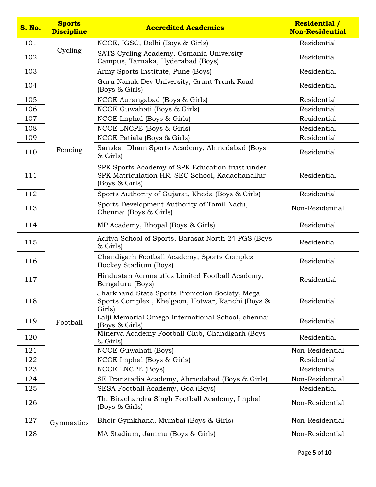| <b>S. No.</b> | <b>Sports</b><br><b>Discipline</b> | <b>Accredited Academies</b>                                                                                          | <b>Residential /</b><br><b>Non-Residential</b> |
|---------------|------------------------------------|----------------------------------------------------------------------------------------------------------------------|------------------------------------------------|
| 101           |                                    | NCOE, IGSC, Delhi (Boys & Girls)                                                                                     | Residential                                    |
| 102           | Cycling                            | SATS Cycling Academy, Osmania University<br>Campus, Tarnaka, Hyderabad (Boys)                                        | Residential                                    |
| 103           |                                    | Army Sports Institute, Pune (Boys)                                                                                   | Residential                                    |
| 104           |                                    | Guru Nanak Dev University, Grant Trunk Road<br>(Boys & Girls)                                                        | Residential                                    |
| 105           |                                    | NCOE Aurangabad (Boys & Girls)                                                                                       | Residential                                    |
| 106           |                                    | NCOE Guwahati (Boys & Girls)                                                                                         | Residential                                    |
| 107           |                                    | NCOE Imphal (Boys & Girls)                                                                                           | Residential                                    |
| 108           |                                    | NCOE LNCPE (Boys & Girls)                                                                                            | Residential                                    |
| 109           |                                    | NCOE Patiala (Boys & Girls)                                                                                          | Residential                                    |
| 110           | Fencing                            | Sanskar Dham Sports Academy, Ahmedabad (Boys<br>& Girls)                                                             | Residential                                    |
| 111           |                                    | SPK Sports Academy of SPK Education trust under<br>SPK Matriculation HR. SEC School, Kadachanallur<br>(Boys & Girls) | Residential                                    |
| 112           |                                    | Sports Authority of Gujarat, Kheda (Boys & Girls)                                                                    | Residential                                    |
| 113           |                                    | Sports Development Authority of Tamil Nadu,<br>Chennai (Boys & Girls)                                                | Non-Residential                                |
| 114           |                                    | MP Academy, Bhopal (Boys & Girls)                                                                                    | Residential                                    |
| 115           |                                    | Aditya School of Sports, Barasat North 24 PGS (Boys<br>& Girls)                                                      | Residential                                    |
| 116           |                                    | Chandigarh Football Academy, Sports Complex<br>Hockey Stadium (Boys)                                                 | Residential                                    |
| 117           |                                    | Hindustan Aeronautics Limited Football Academy,<br>Bengaluru (Boys)                                                  | Residential                                    |
| 118           |                                    | Jharkhand State Sports Promotion Society, Mega<br>Sports Complex, Khelgaon, Hotwar, Ranchi (Boys &<br>Girls)         | Residential                                    |
| 119           | Football                           | Lalji Memorial Omega International School, chennai<br>(Boys & Girls)                                                 | Residential                                    |
| 120           |                                    | Minerva Academy Football Club, Chandigarh (Boys<br>& Girls)                                                          | Residential                                    |
| 121           |                                    | NCOE Guwahati (Boys)                                                                                                 | Non-Residential                                |
| 122           |                                    | NCOE Imphal (Boys & Girls)                                                                                           | Residential                                    |
| 123           |                                    | NCOE LNCPE (Boys)                                                                                                    | Residential                                    |
| 124           |                                    | SE Transtadia Academy, Ahmedabad (Boys & Girls)                                                                      | Non-Residential                                |
| 125           |                                    | SESA Football Academy, Goa (Boys)                                                                                    | Residential                                    |
| 126           |                                    | Th. Birachandra Singh Football Academy, Imphal<br>(Boys & Girls)                                                     | Non-Residential                                |
| 127           | Gymnastics                         | Bhoir Gymkhana, Mumbai (Boys & Girls)                                                                                | Non-Residential                                |
| 128           |                                    | MA Stadium, Jammu (Boys & Girls)                                                                                     | Non-Residential                                |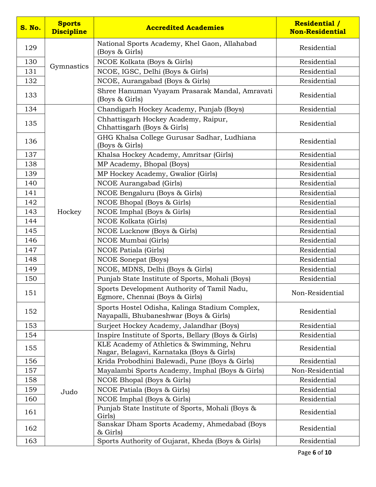| <b>S. No.</b> | <b>Sports</b><br><b>Discipline</b> | <b>Accredited Academies</b>                                                              | <b>Residential /</b><br><b>Non-Residential</b> |
|---------------|------------------------------------|------------------------------------------------------------------------------------------|------------------------------------------------|
| 129           |                                    | National Sports Academy, Khel Gaon, Allahabad<br>(Boys & Girls)                          | Residential                                    |
| 130           |                                    | NCOE Kolkata (Boys & Girls)                                                              | Residential                                    |
| 131           | Gymnastics                         | NCOE, IGSC, Delhi (Boys & Girls)                                                         | Residential                                    |
| 132           |                                    | NCOE, Aurangabad (Boys & Girls)                                                          | Residential                                    |
| 133           |                                    | Shree Hanuman Vyayam Prasarak Mandal, Amravati<br>(Boys & Girls)                         | Residential                                    |
| 134           |                                    | Chandigarh Hockey Academy, Punjab (Boys)                                                 | Residential                                    |
| 135           |                                    | Chhattisgarh Hockey Academy, Raipur,<br>Chhattisgarh (Boys & Girls)                      | Residential                                    |
| 136           |                                    | GHG Khalsa College Gurusar Sadhar, Ludhiana<br>(Boys & Girls)                            | Residential                                    |
| 137           |                                    | Khalsa Hockey Academy, Amritsar (Girls)                                                  | Residential                                    |
| 138           |                                    | MP Academy, Bhopal (Boys)                                                                | Residential                                    |
| 139           |                                    | MP Hockey Academy, Gwalior (Girls)                                                       | Residential                                    |
| 140           |                                    | NCOE Aurangabad (Girls)                                                                  | Residential                                    |
| 141           |                                    | NCOE Bengaluru (Boys & Girls)                                                            | Residential                                    |
| 142           |                                    | NCOE Bhopal (Boys & Girls)                                                               | Residential                                    |
| 143           | Hockey                             | NCOE Imphal (Boys & Girls)                                                               | Residential                                    |
| 144           |                                    | NCOE Kolkata (Girls)                                                                     | Residential                                    |
| 145           |                                    | NCOE Lucknow (Boys & Girls)                                                              | Residential                                    |
| 146           |                                    | NCOE Mumbai (Girls)                                                                      | Residential                                    |
| 147           |                                    | NCOE Patiala (Girls)                                                                     | Residential                                    |
| 148           |                                    | <b>NCOE</b> Sonepat (Boys)                                                               | Residential                                    |
| 149           |                                    | NCOE, MDNS, Delhi (Boys & Girls)                                                         | Residential                                    |
| 150           |                                    | Punjab State Institute of Sports, Mohali (Boys)                                          | Residential                                    |
| 151           |                                    | Sports Development Authority of Tamil Nadu,<br>Egmore, Chennai (Boys & Girls)            | Non-Residential                                |
| 152           |                                    | Sports Hostel Odisha, Kalinga Stadium Complex,<br>Nayapalli, Bhubaneshwar (Boys & Girls) | Residential                                    |
| 153           |                                    | Surjeet Hockey Academy, Jalandhar (Boys)                                                 | Residential                                    |
| 154           |                                    | Inspire Institute of Sports, Bellary (Boys & Girls)                                      | Residential                                    |
| 155           |                                    | KLE Academy of Athletics & Swimming, Nehru<br>Nagar, Belagavi, Karnataka (Boys & Girls)  | Residential                                    |
| 156           |                                    | Krida Probodhini Balewadi, Pune (Boys & Girls)                                           | Residential                                    |
| 157           |                                    | Mayalambi Sports Academy, Imphal (Boys & Girls)                                          | Non-Residential                                |
| 158           |                                    | NCOE Bhopal (Boys & Girls)                                                               | Residential                                    |
| 159           | Judo                               | NCOE Patiala (Boys & Girls)                                                              | Residential                                    |
| 160           |                                    | NCOE Imphal (Boys & Girls)                                                               | Residential                                    |
| 161           |                                    | Punjab State Institute of Sports, Mohali (Boys &<br>Girls)                               | Residential                                    |
| 162           |                                    | Sanskar Dham Sports Academy, Ahmedabad (Boys<br>& Girls)                                 | Residential                                    |
| 163           |                                    | Sports Authority of Gujarat, Kheda (Boys & Girls)                                        | Residential                                    |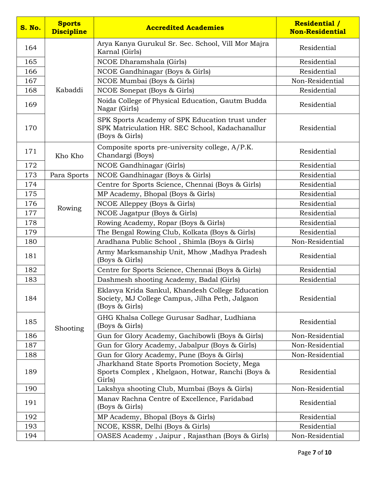| <b>S. No.</b> | <b>Sports</b><br><b>Discipline</b> | <b>Accredited Academies</b>                                                                                           | <b>Residential /</b><br><b>Non-Residential</b> |
|---------------|------------------------------------|-----------------------------------------------------------------------------------------------------------------------|------------------------------------------------|
| 164           |                                    | Arya Kanya Gurukul Sr. Sec. School, Vill Mor Majra<br>Karnal (Girls)                                                  | Residential                                    |
| 165           |                                    | NCOE Dharamshala (Girls)                                                                                              | Residential                                    |
| 166           |                                    | NCOE Gandhinagar (Boys & Girls)                                                                                       | Residential                                    |
| 167           |                                    | NCOE Mumbai (Boys & Girls)                                                                                            | Non-Residential                                |
| 168           | Kabaddi                            | NCOE Sonepat (Boys & Girls)                                                                                           | Residential                                    |
| 169           |                                    | Noida College of Physical Education, Gautm Budda<br>Nagar (Girls)                                                     | Residential                                    |
| 170           |                                    | SPK Sports Academy of SPK Education trust under<br>SPK Matriculation HR. SEC School, Kadachanallur<br>(Boys & Girls)  | Residential                                    |
| 171           | Kho Kho                            | Composite sports pre-university college, A/P.K.<br>Chandargi (Boys)                                                   | Residential                                    |
| 172           |                                    | NCOE Gandhinagar (Girls)                                                                                              | Residential                                    |
| 173           | Para Sports                        | NCOE Gandhinagar (Boys & Girls)                                                                                       | Residential                                    |
| 174           |                                    | Centre for Sports Science, Chennai (Boys & Girls)                                                                     | Residential                                    |
| 175           |                                    | MP Academy, Bhopal (Boys & Girls)                                                                                     | Residential                                    |
| 176           | Rowing                             | NCOE Alleppey (Boys & Girls)                                                                                          | Residential                                    |
| 177           |                                    | NCOE Jagatpur (Boys & Girls)                                                                                          | Residential                                    |
| 178           |                                    | Rowing Academy, Ropar (Boys & Girls)                                                                                  | Residential                                    |
| 179           |                                    | The Bengal Rowing Club, Kolkata (Boys & Girls)                                                                        | Residential                                    |
| 180           |                                    | Aradhana Public School, Shimla (Boys & Girls)                                                                         | Non-Residential                                |
| 181           |                                    | Army Marksmanship Unit, Mhow, Madhya Pradesh<br>(Boys & Girls)                                                        | Residential                                    |
| 182           |                                    | Centre for Sports Science, Chennai (Boys & Girls)                                                                     | Residential                                    |
| 183           |                                    | Dashmesh shooting Academy, Badal (Girls)                                                                              | Residential                                    |
| 184           |                                    | Eklavya Krida Sankul, Khandesh College Education<br>Society, MJ College Campus, Jilha Peth, Jalgaon<br>(Boys & Girls) | Residential                                    |
| 185           | Shooting                           | GHG Khalsa College Gurusar Sadhar, Ludhiana<br>(Boys & Girls)                                                         | Residential                                    |
| 186           |                                    | Gun for Glory Academy, Gachibowli (Boys & Girls)                                                                      | Non-Residential                                |
| 187           |                                    | Gun for Glory Academy, Jabalpur (Boys & Girls)                                                                        | Non-Residential                                |
| 188           |                                    | Gun for Glory Academy, Pune (Boys & Girls)                                                                            | Non-Residential                                |
| 189           |                                    | Jharkhand State Sports Promotion Society, Mega<br>Sports Complex, Khelgaon, Hotwar, Ranchi (Boys &<br>Girls)          | Residential                                    |
| 190           |                                    | Lakshya shooting Club, Mumbai (Boys & Girls)                                                                          | Non-Residential                                |
| 191           |                                    | Manav Rachna Centre of Excellence, Faridabad<br>(Boys & Girls)                                                        | Residential                                    |
| 192           |                                    | MP Academy, Bhopal (Boys & Girls)                                                                                     | Residential                                    |
| 193           |                                    | NCOE, KSSR, Delhi (Boys & Girls)                                                                                      | Residential                                    |
| 194           |                                    | OASES Academy, Jaipur, Rajasthan (Boys & Girls)                                                                       | Non-Residential                                |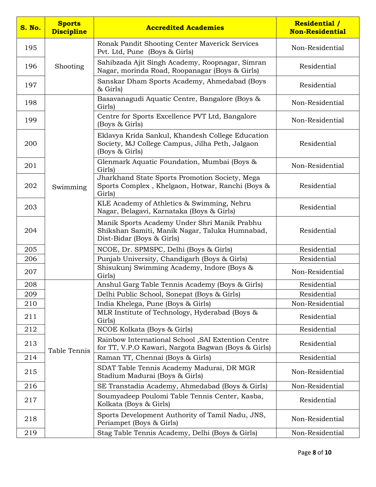| <b>S. No.</b> | <b>Sports</b><br><b>Discipline</b> | <b>Accredited Academies</b>                                                                                                 | <b>Residential /</b><br><b>Non-Residential</b> |
|---------------|------------------------------------|-----------------------------------------------------------------------------------------------------------------------------|------------------------------------------------|
| 195           |                                    | Ronak Pandit Shooting Center Maverick Services<br>Pvt. Ltd, Pune (Boys & Girls)                                             | Non-Residential                                |
| 196           | Shooting                           | Sahibzada Ajit Singh Academy, Roopnagar, Simran<br>Nagar, morinda Road, Roopanagar (Boys & Girls)                           | Residential                                    |
| 197           |                                    | Sanskar Dham Sports Academy, Ahmedabad (Boys<br>& Girls)                                                                    | Residential                                    |
| 198           |                                    | Basavanagudi Aquatic Centre, Bangalore (Boys &<br>Girls)                                                                    | Non-Residential                                |
| 199           |                                    | Centre for Sports Excellence PVT Ltd, Bangalore<br>(Boys & Girls)                                                           | Non-Residential                                |
| 200           |                                    | Eklavya Krida Sankul, Khandesh College Education<br>Society, MJ College Campus, Jilha Peth, Jalgaon<br>(Boys & Girls)       | Residential                                    |
| 201           |                                    | Glenmark Aquatic Foundation, Mumbai (Boys &<br>Girls)                                                                       | Non-Residential                                |
| 202           | Swimming                           | Jharkhand State Sports Promotion Society, Mega<br>Sports Complex, Khelgaon, Hotwar, Ranchi (Boys &<br>Girls)                | Residential                                    |
| 203           |                                    | KLE Academy of Athletics & Swimming, Nehru<br>Nagar, Belagavi, Karnataka (Boys & Girls)                                     | Residential                                    |
| 204           |                                    | Manik Sports Academy Under Shri Manik Prabhu<br>Shikshan Samiti, Manik Nagar, Taluka Humnabad,<br>Dist-Bidar (Boys & Girls) | Residential                                    |
| 205           |                                    | NCOE, Dr. SPMSPC, Delhi (Boys & Girls)                                                                                      | Residential                                    |
| 206           |                                    | Punjab University, Chandigarh (Boys & Girls)                                                                                | Residential                                    |
| 207           |                                    | Shisukunj Swimming Academy, Indore (Boys &<br>Girls)                                                                        | Non-Residential                                |
| 208           |                                    | Anshul Garg Table Tennis Academy (Boys & Girls)                                                                             | Residential                                    |
| 209           |                                    | Delhi Public School, Sonepat (Boys & Girls)                                                                                 | Residential                                    |
| 210           |                                    | India Khelega, Pune (Boys & Girls)                                                                                          | Non-Residential                                |
| 211           |                                    | MLR Institute of Technology, Hyderabad (Boys &<br>Girls)                                                                    | Residential                                    |
| 212           |                                    | NCOE Kolkata (Boys & Girls)                                                                                                 | Residential                                    |
| 213           | Table Tennis                       | Rainbow International School , SAI Extention Centre<br>for TT, V.P.O Kawari, Nargota Bagwan (Boys & Girls)                  | Residential                                    |
| 214           |                                    | Raman TT, Chennai (Boys & Girls)                                                                                            | Residential                                    |
| 215           |                                    | SDAT Table Tennis Academy Madurai, DR MGR<br>Stadium Madurai (Boys & Girls)                                                 | Non-Residential                                |
| 216           |                                    | SE Transtadia Academy, Ahmedabad (Boys & Girls)                                                                             | Non-Residential                                |
| 217           |                                    | Soumyadeep Poulomi Table Tennis Center, Kasba,<br>Kolkata (Boys & Girls)                                                    | Residential                                    |
| 218           |                                    | Sports Development Authority of Tamil Nadu, JNS,<br>Periampet (Boys & Girls)                                                | Non-Residential                                |
| 219           |                                    | Stag Table Tennis Academy, Delhi (Boys & Girls)                                                                             | Non-Residential                                |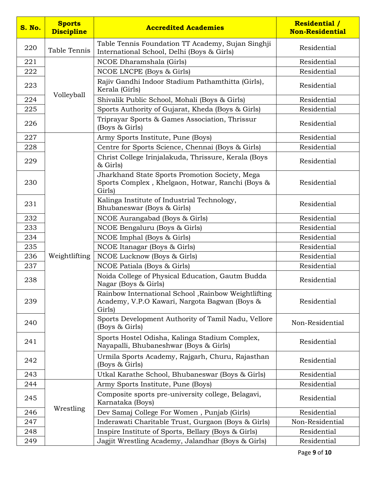| <b>S. No.</b> | <b>Sports</b><br><b>Discipline</b> | <b>Accredited Academies</b>                                                                                    | <b>Residential /</b><br><b>Non-Residential</b> |
|---------------|------------------------------------|----------------------------------------------------------------------------------------------------------------|------------------------------------------------|
| 220           | Table Tennis                       | Table Tennis Foundation TT Academy, Sujan Singhji<br>International School, Delhi (Boys & Girls)                | Residential                                    |
| 221           |                                    | NCOE Dharamshala (Girls)                                                                                       | Residential                                    |
| 222           |                                    | NCOE LNCPE (Boys & Girls)                                                                                      | Residential                                    |
| 223           |                                    | Rajiv Gandhi Indoor Stadium Pathamthitta (Girls),<br>Kerala (Girls)                                            | Residential                                    |
| 224           | Volleyball                         | Shivalik Public School, Mohali (Boys & Girls)                                                                  | Residential                                    |
| 225           |                                    | Sports Authority of Gujarat, Kheda (Boys & Girls)                                                              | Residential                                    |
| 226           |                                    | Triprayar Sports & Games Association, Thrissur<br>(Boys & Girls)                                               | Residential                                    |
| 227           |                                    | Army Sports Institute, Pune (Boys)                                                                             | Residential                                    |
| 228           |                                    | Centre for Sports Science, Chennai (Boys & Girls)                                                              | Residential                                    |
| 229           |                                    | Christ College Irinjalakuda, Thrissure, Kerala (Boys<br>& Girls)                                               | Residential                                    |
| 230           |                                    | Jharkhand State Sports Promotion Society, Mega<br>Sports Complex, Khelgaon, Hotwar, Ranchi (Boys &<br>Girls)   | Residential                                    |
| 231           |                                    | Kalinga Institute of Industrial Technology,<br>Bhubaneswar (Boys & Girls)                                      | Residential                                    |
| 232           |                                    | NCOE Aurangabad (Boys & Girls)                                                                                 | Residential                                    |
| 233           |                                    | NCOE Bengaluru (Boys & Girls)                                                                                  | Residential                                    |
| 234           |                                    | NCOE Imphal (Boys & Girls)                                                                                     | Residential                                    |
| 235           |                                    | NCOE Itanagar (Boys & Girls)                                                                                   | Residential                                    |
| 236           | Weightlifting                      | NCOE Lucknow (Boys & Girls)                                                                                    | Residential                                    |
| 237           |                                    | NCOE Patiala (Boys & Girls)                                                                                    | Residential                                    |
| 238           |                                    | Noida College of Physical Education, Gautm Budda<br>Nagar (Boys & Girls)                                       | Residential                                    |
| 239           |                                    | Rainbow International School, Rainbow Weightlifting<br>Academy, V.P.O Kawari, Nargota Bagwan (Boys &<br>Girls) | Residential                                    |
| 240           |                                    | Sports Development Authority of Tamil Nadu, Vellore<br>(Boys & Girls)                                          | Non-Residential                                |
| 241           |                                    | Sports Hostel Odisha, Kalinga Stadium Complex,<br>Nayapalli, Bhubaneshwar (Boys & Girls)                       | Residential                                    |
| 242           |                                    | Urmila Sports Academy, Rajgarh, Churu, Rajasthan<br>(Boys & Girls)                                             | Residential                                    |
| 243           |                                    | Utkal Karathe School, Bhubaneswar (Boys & Girls)                                                               | Residential                                    |
| 244           |                                    | Army Sports Institute, Pune (Boys)                                                                             | Residential                                    |
| 245           |                                    | Composite sports pre-university college, Belagavi,<br>Karnataka (Boys)                                         | Residential                                    |
| 246           | Wrestling                          | Dev Samaj College For Women, Punjab (Girls)                                                                    | Residential                                    |
| 247           |                                    | Inderawati Charitable Trust, Gurgaon (Boys & Girls)                                                            | Non-Residential                                |
| 248           |                                    | Inspire Institute of Sports, Bellary (Boys & Girls)                                                            | Residential                                    |
| 249           |                                    | Jagjit Wrestling Academy, Jalandhar (Boys & Girls)                                                             | Residential                                    |